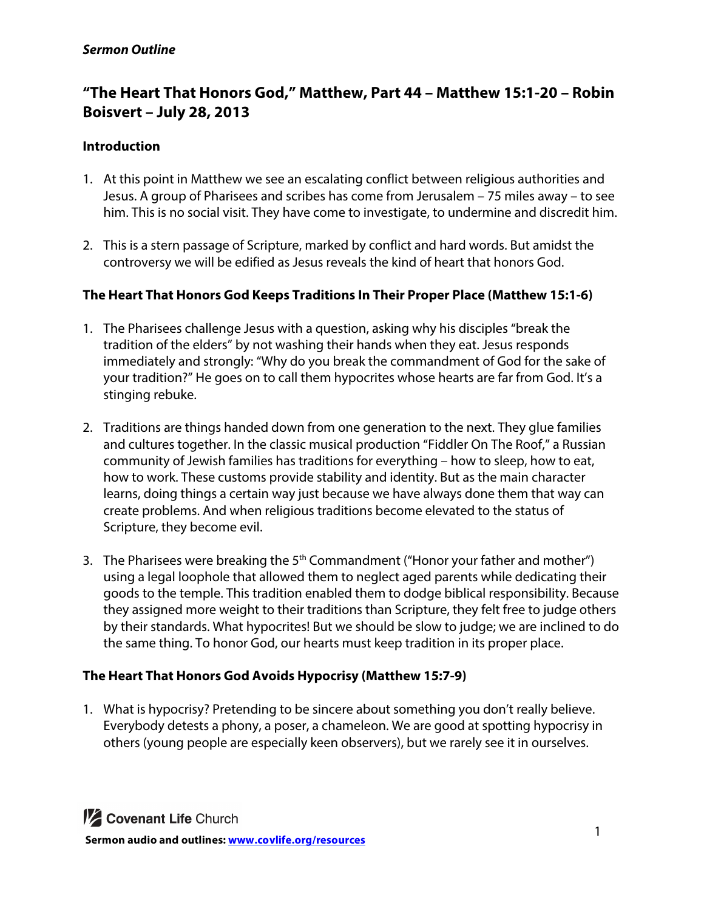#### *Sermon Outline*

# **"The Heart That Honors God," Matthew, Part 44 – Matthew 15:1-20 – Robin Boisvert – July 28, 2013**

## **Introduction**

- 1. At this point in Matthew we see an escalating conflict between religious authorities and Jesus. A group of Pharisees and scribes has come from Jerusalem – 75 miles away – to see him. This is no social visit. They have come to investigate, to undermine and discredit him.
- 2. This is a stern passage of Scripture, marked by conflict and hard words. But amidst the controversy we will be edified as Jesus reveals the kind of heart that honors God.

#### **The Heart That Honors God Keeps Traditions In Their Proper Place (Matthew 15:1-6)**

- 1. The Pharisees challenge Jesus with a question, asking why his disciples "break the tradition of the elders" by not washing their hands when they eat. Jesus responds immediately and strongly: "Why do you break the commandment of God for the sake of your tradition?" He goes on to call them hypocrites whose hearts are far from God. It's a stinging rebuke.
- 2. Traditions are things handed down from one generation to the next. They glue families and cultures together. In the classic musical production "Fiddler On The Roof," a Russian community of Jewish families has traditions for everything – how to sleep, how to eat, how to work. These customs provide stability and identity. But as the main character learns, doing things a certain way just because we have always done them that way can create problems. And when religious traditions become elevated to the status of Scripture, they become evil.
- 3. The Pharisees were breaking the  $5<sup>th</sup>$  Commandment ("Honor your father and mother") using a legal loophole that allowed them to neglect aged parents while dedicating their goods to the temple. This tradition enabled them to dodge biblical responsibility. Because they assigned more weight to their traditions than Scripture, they felt free to judge others by their standards. What hypocrites! But we should be slow to judge; we are inclined to do the same thing. To honor God, our hearts must keep tradition in its proper place.

# **The Heart That Honors God Avoids Hypocrisy (Matthew 15:7-9)**

1. What is hypocrisy? Pretending to be sincere about something you don't really believe. Everybody detests a phony, a poser, a chameleon. We are good at spotting hypocrisy in others (young people are especially keen observers), but we rarely see it in ourselves.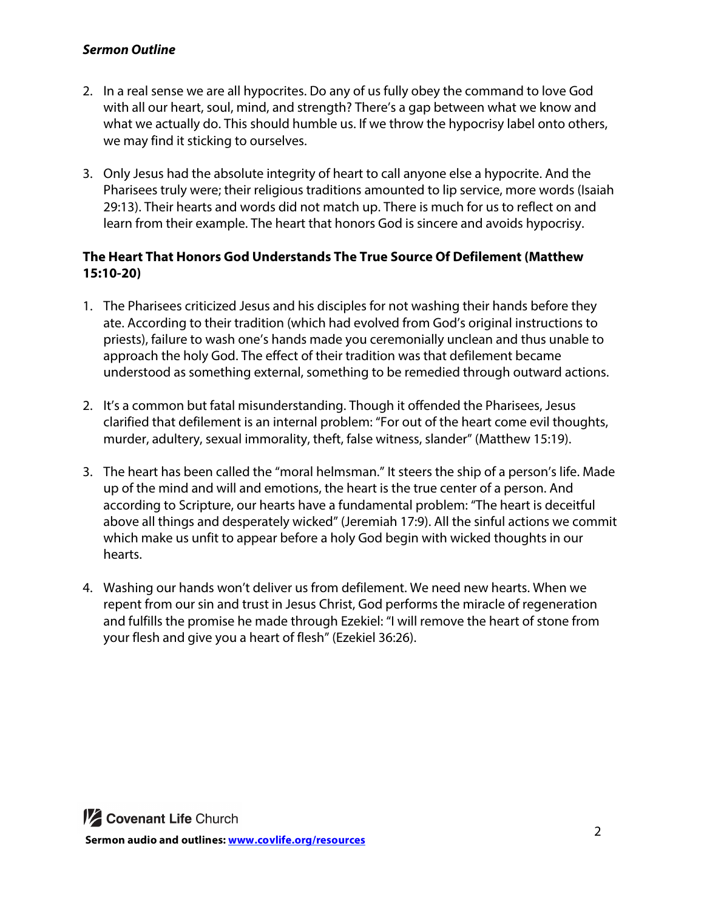#### *Sermon Outline*

- 2. In a real sense we are all hypocrites. Do any of us fully obey the command to love God with all our heart, soul, mind, and strength? There's a gap between what we know and what we actually do. This should humble us. If we throw the hypocrisy label onto others, we may find it sticking to ourselves.
- 3. Only Jesus had the absolute integrity of heart to call anyone else a hypocrite. And the Pharisees truly were; their religious traditions amounted to lip service, more words (Isaiah 29:13). Their hearts and words did not match up. There is much for us to reflect on and learn from their example. The heart that honors God is sincere and avoids hypocrisy.

## **The Heart That Honors God Understands The True Source Of Defilement (Matthew 15:10-20)**

- 1. The Pharisees criticized Jesus and his disciples for not washing their hands before they ate. According to their tradition (which had evolved from God's original instructions to priests), failure to wash one's hands made you ceremonially unclean and thus unable to approach the holy God. The effect of their tradition was that defilement became understood as something external, something to be remedied through outward actions.
- 2. It's a common but fatal misunderstanding. Though it offended the Pharisees, Jesus clarified that defilement is an internal problem: "For out of the heart come evil thoughts, murder, adultery, sexual immorality, theft, false witness, slander" (Matthew 15:19).
- 3. The heart has been called the "moral helmsman." It steers the ship of a person's life. Made up of the mind and will and emotions, the heart is the true center of a person. And according to Scripture, our hearts have a fundamental problem: "The heart is deceitful above all things and desperately wicked" (Jeremiah 17:9). All the sinful actions we commit which make us unfit to appear before a holy God begin with wicked thoughts in our hearts.
- 4. Washing our hands won't deliver us from defilement. We need new hearts. When we repent from our sin and trust in Jesus Christ, God performs the miracle of regeneration and fulfills the promise he made through Ezekiel: "I will remove the heart of stone from your flesh and give you a heart of flesh" (Ezekiel 36:26).